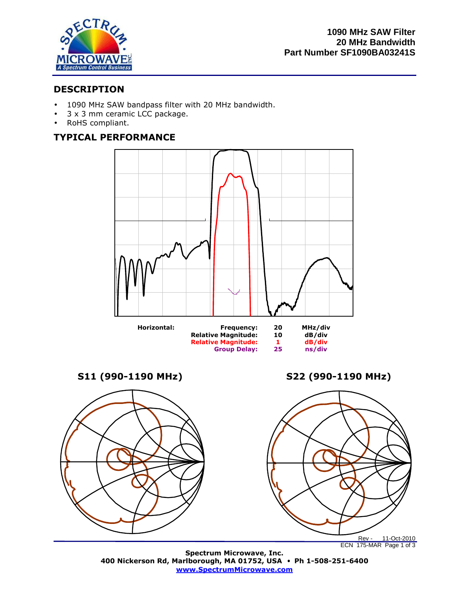

# **DESCRIPTION**

- 1090 MHz SAW bandpass filter with 20 MHz bandwidth.
- 3 x 3 mm ceramic LCC package.
- RoHS compliant.

# **TYPICAL PERFORMANCE**



**S11 (990-1190 MHz) S22 (990-1190 MHz)** 



**Spectrum Microwave, Inc. 400 Nickerson Rd, Marlborough, MA 01752, USA** • **Ph 1-508-251-6400 www.SpectrumMicrowave.com**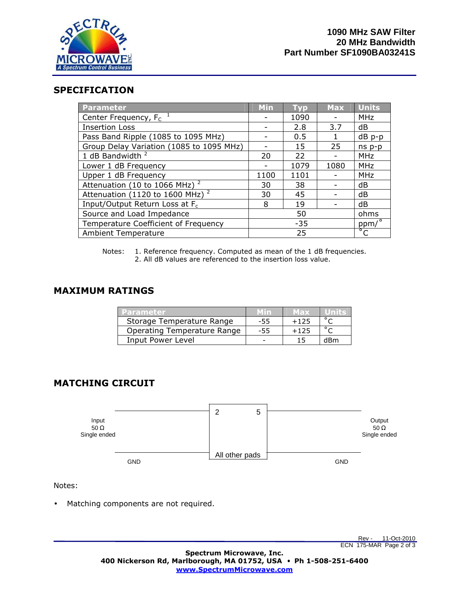

## **SPECIFICATION**

| <b>Parameter</b>                           | <b>Min</b> | <b>Typ</b> | <b>Max</b> | <b>Units</b>   |
|--------------------------------------------|------------|------------|------------|----------------|
| Center Frequency, $F_c$ <sup>1</sup>       |            | 1090       |            | <b>MHz</b>     |
| <b>Insertion Loss</b>                      |            | 2.8        | 3.7        | dB             |
| Pass Band Ripple (1085 to 1095 MHz)        |            | 0.5        |            | dB p-p         |
| Group Delay Variation (1085 to 1095 MHz)   |            | 15         | 25         | $ns p-p$       |
| 1 dB Bandwidth <sup>2</sup>                | 20         | 22         |            | <b>MHz</b>     |
| Lower 1 dB Frequency                       |            | 1079       | 1080       | <b>MHz</b>     |
| Upper 1 dB Frequency                       | 1100       | 1101       |            | <b>MHz</b>     |
| Attenuation (10 to 1066 MHz) $^2$          | 30         | 38         |            | dB             |
| Attenuation (1120 to 1600 MHz) $^2$        | 30         | 45         |            | dB             |
| Input/Output Return Loss at F <sub>c</sub> | 8          | 19         |            | dB             |
| Source and Load Impedance                  | 50         |            |            | ohms           |
| Temperature Coefficient of Frequency       | $-35$      |            |            | ppm/°          |
| <b>Ambient Temperature</b>                 | 25         |            |            | $\overline{C}$ |

Notes: 1. Reference frequency. Computed as mean of the 1 dB frequencies. 2. All dB values are referenced to the insertion loss value.

## **MAXIMUM RATINGS**

| Parameter                   |     | мах    |     |
|-----------------------------|-----|--------|-----|
| Storage Temperature Range   | -55 | $+125$ |     |
| Operating Temperature Range | -55 | $+125$ |     |
| Input Power Level           |     |        | dRm |

# **MATCHING CIRCUIT**



Notes:

• Matching components are not required.